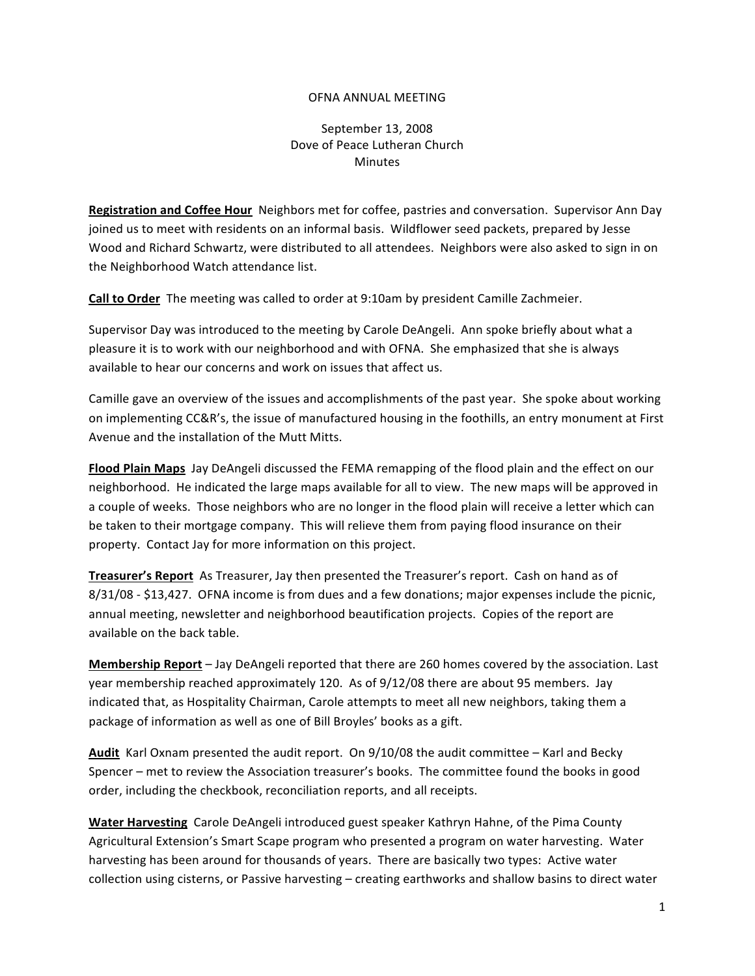## OFNA
ANNUAL
MEETING

## September
13,
2008 Dove
of
Peace
Lutheran
Church Minutes

Registration and Coffee Hour Neighbors met for coffee, pastries and conversation. Supervisor Ann Day joined us to meet with residents on an informal basis. Wildflower seed packets, prepared by Jesse Wood and Richard Schwartz, were distributed to all attendees. Neighbors were also asked to sign in on the
Neighborhood
Watch
attendance
list.

**Call to Order** The meeting was called to order at 9:10am by president Camille Zachmeier.

Supervisor Day was introduced to the meeting by Carole DeAngeli. Ann spoke briefly about what a pleasure
it
is
to
work
with
our
neighborhood
and
with
OFNA.

She
emphasized
that
she
is
always available
to
hear
our
concerns
and
work
on
issues
that
affect
us.

Camille gave an overview of the issues and accomplishments of the past year. She spoke about working on implementing CC&R's, the issue of manufactured housing in the foothills, an entry monument at First Avenue
and
the
installation
of
the
Mutt
Mitts.

**Flood Plain Maps** Jay DeAngeli discussed the FEMA remapping of the flood plain and the effect on our neighborhood. He indicated the large maps available for all to view. The new maps will be approved in a couple of weeks. Those neighbors who are no longer in the flood plain will receive a letter which can be taken to their mortgage company. This will relieve them from paying flood insurance on their property.

Contact
Jay
for
more
information
on
this
project.

Treasurer's Report As Treasurer, Jay then presented the Treasurer's report. Cash on hand as of 8/31/08 - \$13,427. OFNA income is from dues and a few donations; major expenses include the picnic, annual meeting, newsletter and neighborhood beautification projects. Copies of the report are available
on
the
back
table.

Membership Report - Jay DeAngeli reported that there are 260 homes covered by the association. Last year membership reached approximately 120. As of 9/12/08 there are about 95 members. Jay indicated that, as Hospitality Chairman, Carole attempts to meet all new neighbors, taking them a package
of
information
as
well
as
one
of
Bill
Broyles'
books
as
a
gift.

Audit Karl Oxnam presented the audit report. On 9/10/08 the audit committee - Karl and Becky Spencer - met to review the Association treasurer's books. The committee found the books in good order,
including
the
checkbook,
reconciliation
reports,
and
all
receipts.

Water Harvesting Carole DeAngeli introduced guest speaker Kathryn Hahne, of the Pima County Agricultural
Extension's Smart
Scape
program
who
presented
a
program
on
water
harvesting.

Water harvesting has been around for thousands of years. There are basically two types: Active water collection using cisterns, or Passive harvesting - creating earthworks and shallow basins to direct water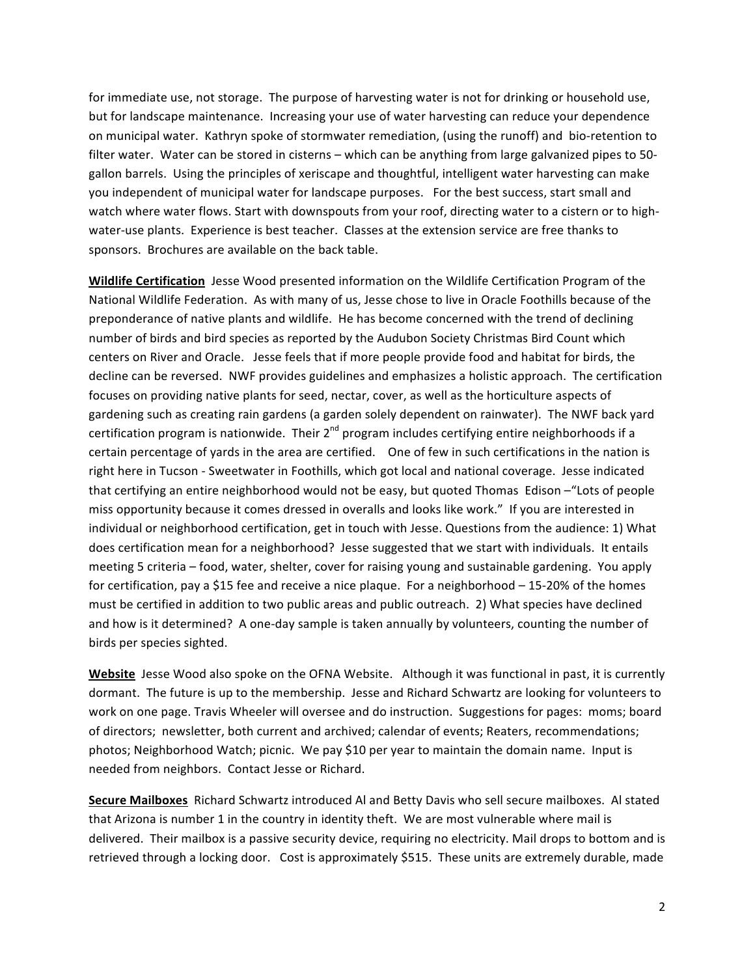for immediate use, not storage. The purpose of harvesting water is not for drinking or household use, but
for
landscape
maintenance.

Increasing
your
use
of
water
harvesting
can
reduce
your
dependence on
municipal
water.

Kathryn
spoke
of
stormwater
remediation,
(using
the
runoff)
and

bio‐retention
to filter water. Water can be stored in cisterns - which can be anything from large galvanized pipes to 50gallon barrels. Using the principles of xeriscape and thoughtful, intelligent water harvesting can make you independent of municipal water for landscape purposes. For the best success, start small and watch where water flows. Start with downspouts from your roof, directing water to a cistern or to highwater-use plants. Experience is best teacher. Classes at the extension service are free thanks to sponsors. Brochures are available on the back table.

Wildlife Certification Jesse Wood presented information on the Wildlife Certification Program of the National Wildlife Federation. As with many of us, Jesse chose to live in Oracle Foothills because of the preponderance of native plants and wildlife. He has become concerned with the trend of declining number
of
birds
and
bird
species
as
reported
by
the
Audubon
Society
Christmas Bird
Count
which centers
on
River
and
Oracle.

Jesse
feels
that
if
more
people
provide
food
and
habitat
for
birds,
the decline can be reversed. NWF provides guidelines and emphasizes a holistic approach. The certification focuses on providing native plants for seed, nectar, cover, as well as the horticulture aspects of gardening such as creating rain gardens (a garden solely dependent on rainwater). The NWF back yard certification program is nationwide. Their  $2^{nd}$  program includes certifying entire neighborhoods if a certain percentage of yards in the area are certified. One of few in such certifications in the nation is right
here
in
Tucson
‐
Sweetwater
in
Foothills,
which got
local
and
national
coverage.

Jesse
indicated that certifying an entire neighborhood would not be easy, but quoted Thomas Edison - "Lots of people miss opportunity because it comes dressed in overalls and looks like work." If you are interested in individual or neighborhood certification, get in touch with Jesse. Questions from the audience: 1) What does certification mean for a neighborhood? Jesse suggested that we start with individuals. It entails meeting 5 criteria – food, water, shelter, cover for raising young and sustainable gardening. You apply for certification, pay a \$15 fee and receive a nice plaque. For a neighborhood - 15-20% of the homes must be certified in addition to two public areas and public outreach. 2) What species have declined and how is it determined? A one-day sample is taken annually by volunteers, counting the number of birds
per
species
sighted.

Website Jesse Wood also spoke on the OFNA Website. Although it was functional in past, it is currently dormant.

The
future
is
up
to
the
membership.

Jesse
and
Richard
Schwartz
are
looking
for
volunteers
to work on one page. Travis Wheeler will oversee and do instruction. Suggestions for pages: moms; board of directors; newsletter, both current and archived; calendar of events; Reaters, recommendations; photos; Neighborhood Watch; picnic. We pay \$10 per year to maintain the domain name. Input is needed
from
neighbors.

Contact
Jesse
or
Richard.

Secure Mailboxes Richard Schwartz introduced Al and Betty Davis who sell secure mailboxes. Al stated that Arizona is number 1 in the country in identity theft. We are most vulnerable where mail is delivered. Their mailbox is a passive security device, requiring no electricity. Mail drops to bottom and is retrieved through a locking door. Cost is approximately \$515. These units are extremely durable, made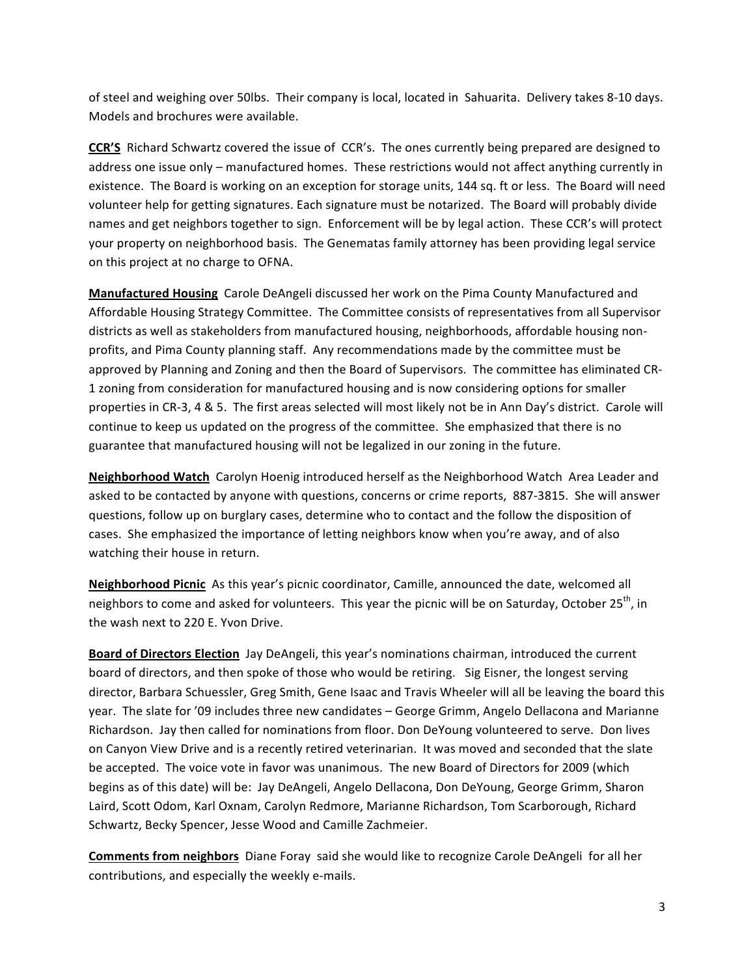of
steel
and
weighing
over
50lbs.

Their
company
is
local,
located
in

Sahuarita.

Delivery
takes
8‐10
days. Models
and
brochures
were
available.

**CCR'S** Richard Schwartz covered the issue of CCR's. The ones currently being prepared are designed to address one issue only - manufactured homes. These restrictions would not affect anything currently in existence. The Board is working on an exception for storage units, 144 sq. ft or less. The Board will need volunteer help for getting signatures. Each signature must be notarized. The Board will probably divide names and get neighbors together to sign. Enforcement will be by legal action. These CCR's will protect your property on neighborhood basis. The Genematas family attorney has been providing legal service on
this
project
at
no
charge
to
OFNA.

Manufactured Housing Carole DeAngeli discussed her work on the Pima County Manufactured and Affordable
Housing
Strategy
Committee.

The
Committee
consists
of
representatives
from
all
Supervisor districts as well as stakeholders from manufactured housing, neighborhoods, affordable housing nonprofits,
and
Pima
County
planning
staff.

Any
recommendations
made
by
the
committee
must
be approved by Planning and Zoning and then the Board of Supervisors. The committee has eliminated CR-1 zoning from consideration for manufactured housing and is now considering options for smaller properties in CR-3, 4 & 5. The first areas selected will most likely not be in Ann Day's district. Carole will continue to keep us updated on the progress of the committee. She emphasized that there is no guarantee
that
manufactured
housing
will
not
be
legalized
in
our
zoning
in
the
future.

Neighborhood Watch Carolyn Hoenig introduced herself as the Neighborhood Watch Area Leader and asked to be contacted by anyone with questions, concerns or crime reports, 887-3815. She will answer questions,
follow
up
on
burglary
cases,
determine
who
to
contact
and
the
follow
the
disposition
of cases. She emphasized the importance of letting neighbors know when you're away, and of also watching
their
house in
return.

Neighborhood Picnic As this year's picnic coordinator, Camille, announced the date, welcomed all neighbors to come and asked for volunteers. This year the picnic will be on Saturday, October 25<sup>th</sup>, in the
wash
next
to
220
E.
Yvon
Drive.

Board of Directors Election Jay DeAngeli, this year's nominations chairman, introduced the current board of directors, and then spoke of those who would be retiring. Sig Eisner, the longest serving director, Barbara Schuessler, Greg Smith, Gene Isaac and Travis Wheeler will all be leaving the board this year. The slate for '09 includes three new candidates - George Grimm, Angelo Dellacona and Marianne Richardson. Jay then called for nominations from floor. Don DeYoung volunteered to serve. Don lives on
Canyon
View
Drive
and
is
a
recently
retired
veterinarian.

It
was
moved
and
seconded
that
the
slate be accepted. The voice vote in favor was unanimous. The new Board of Directors for 2009 (which begins as of this date) will be: Jay DeAngeli, Angelo Dellacona, Don DeYoung, George Grimm, Sharon Laird, Scott Odom, Karl Oxnam, Carolyn Redmore, Marianne Richardson, Tom Scarborough, Richard Schwartz,
Becky
Spencer,
Jesse
Wood
and
Camille
Zachmeier.

**Comments from neighbors** Diane Foray said she would like to recognize Carole DeAngeli for all her contributions,
and
especially
the
weekly
e‐mails.